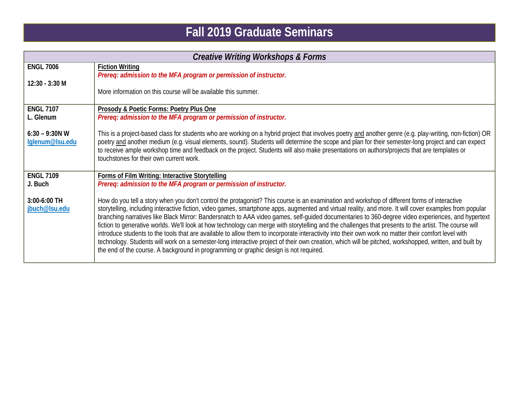## **Fall 2019 Graduate Seminars**

| <b>Creative Writing Workshops &amp; Forms</b> |                                                                                                                                                                                                                                                                                                                                                                                                                                                                                                                                                                                                                                                                                                                                                                                                                                                                                                                                                                                                                                   |  |
|-----------------------------------------------|-----------------------------------------------------------------------------------------------------------------------------------------------------------------------------------------------------------------------------------------------------------------------------------------------------------------------------------------------------------------------------------------------------------------------------------------------------------------------------------------------------------------------------------------------------------------------------------------------------------------------------------------------------------------------------------------------------------------------------------------------------------------------------------------------------------------------------------------------------------------------------------------------------------------------------------------------------------------------------------------------------------------------------------|--|
| <b>ENGL 7006</b>                              | <b>Fiction Writing</b><br>Prereq: admission to the MFA program or permission of instructor.                                                                                                                                                                                                                                                                                                                                                                                                                                                                                                                                                                                                                                                                                                                                                                                                                                                                                                                                       |  |
| $12:30 - 3:30 M$                              | More information on this course will be available this summer.                                                                                                                                                                                                                                                                                                                                                                                                                                                                                                                                                                                                                                                                                                                                                                                                                                                                                                                                                                    |  |
| <b>ENGL 7107</b><br>L. Glenum                 | Prosody & Poetic Forms: Poetry Plus One<br>Prereq: admission to the MFA program or permission of instructor.                                                                                                                                                                                                                                                                                                                                                                                                                                                                                                                                                                                                                                                                                                                                                                                                                                                                                                                      |  |
| $6:30 - 9:30N$ W<br>lglenum@lsu.edu           | This is a project-based class for students who are working on a hybrid project that involves poetry and another genre (e.g. play-writing, non-fiction) OR<br>poetry and another medium (e.g. visual elements, sound). Students will determine the scope and plan for their semester-long project and can expect<br>to receive ample workshop time and feedback on the project. Students will also make presentations on authors/projects that are templates or<br>touchstones for their own current work.                                                                                                                                                                                                                                                                                                                                                                                                                                                                                                                         |  |
| <b>ENGL 7109</b><br>J. Buch                   | Forms of Film Writing: Interactive Storytelling<br>Prereq: admission to the MFA program or permission of instructor.                                                                                                                                                                                                                                                                                                                                                                                                                                                                                                                                                                                                                                                                                                                                                                                                                                                                                                              |  |
| 3:00-6:00 TH<br>jbuch@lsu.edu                 | How do you tell a story when you don't control the protagonist? This course is an examination and workshop of different forms of interactive<br>storytelling, including interactive fiction, video games, smartphone apps, augmented and virtual reality, and more. It will cover examples from popular<br>branching narratives like Black Mirror: Bandersnatch to AAA video games, self-guided documentaries to 360-degree video experiences, and hypertext<br>fiction to generative worlds. We'll look at how technology can merge with storytelling and the challenges that presents to the artist. The course will<br>introduce students to the tools that are available to allow them to incorporate interactivity into their own work no matter their comfort level with<br>technology. Students will work on a semester-long interactive project of their own creation, which will be pitched, workshopped, written, and built by<br>the end of the course. A background in programming or graphic design is not required. |  |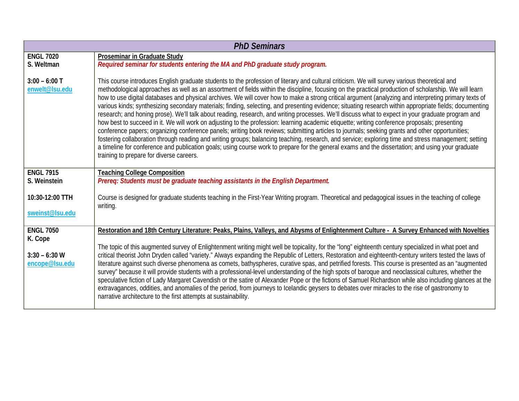| <b>PhD Seminars</b>                |                                                                                                                                                                                                                                                                                                                                                                                                                                                                                                                                                                                                                                                                                                                                                                                                                                                                                                                                                                                                                                                                                                                                                                                                                                                                                                                                                                                                                                               |  |
|------------------------------------|-----------------------------------------------------------------------------------------------------------------------------------------------------------------------------------------------------------------------------------------------------------------------------------------------------------------------------------------------------------------------------------------------------------------------------------------------------------------------------------------------------------------------------------------------------------------------------------------------------------------------------------------------------------------------------------------------------------------------------------------------------------------------------------------------------------------------------------------------------------------------------------------------------------------------------------------------------------------------------------------------------------------------------------------------------------------------------------------------------------------------------------------------------------------------------------------------------------------------------------------------------------------------------------------------------------------------------------------------------------------------------------------------------------------------------------------------|--|
| <b>ENGL 7020</b><br>S. Weltman     | <b>Proseminar in Graduate Study</b><br>Required seminar for students entering the MA and PhD graduate study program.                                                                                                                                                                                                                                                                                                                                                                                                                                                                                                                                                                                                                                                                                                                                                                                                                                                                                                                                                                                                                                                                                                                                                                                                                                                                                                                          |  |
| $3:00 - 6:00$ T<br>enwelt@lsu.edu  | This course introduces English graduate students to the profession of literary and cultural criticism. We will survey various theoretical and<br>methodological approaches as well as an assortment of fields within the discipline, focusing on the practical production of scholarship. We will learn<br>how to use digital databases and physical archives. We will cover how to make a strong critical argument (analyzing and interpreting primary texts of<br>various kinds; synthesizing secondary materials; finding, selecting, and presenting evidence; situating research within appropriate fields; documenting<br>research; and honing prose). We'll talk about reading, research, and writing processes. We'll discuss what to expect in your graduate program and<br>how best to succeed in it. We will work on adjusting to the profession: learning academic etiquette; writing conference proposals; presenting<br>conference papers; organizing conference panels; writing book reviews; submitting articles to journals; seeking grants and other opportunities;<br>fostering collaboration through reading and writing groups; balancing teaching, research, and service; exploring time and stress management; setting<br>a timeline for conference and publication goals; using course work to prepare for the general exams and the dissertation; and using your graduate<br>training to prepare for diverse careers. |  |
| <b>ENGL 7915</b><br>S. Weinstein   | <b>Teaching College Composition</b><br>Prereq: Students must be graduate teaching assistants in the English Department.                                                                                                                                                                                                                                                                                                                                                                                                                                                                                                                                                                                                                                                                                                                                                                                                                                                                                                                                                                                                                                                                                                                                                                                                                                                                                                                       |  |
| 10:30-12:00 TTH<br>sweinst@lsu.edu | Course is designed for graduate students teaching in the First-Year Writing program. Theoretical and pedagogical issues in the teaching of college<br>writing.                                                                                                                                                                                                                                                                                                                                                                                                                                                                                                                                                                                                                                                                                                                                                                                                                                                                                                                                                                                                                                                                                                                                                                                                                                                                                |  |
| <b>ENGL 7050</b><br>K. Cope        | Restoration and 18th Century Literature: Peaks, Plains, Valleys, and Abysms of Enlightenment Culture - A Survey Enhanced with Novelties                                                                                                                                                                                                                                                                                                                                                                                                                                                                                                                                                                                                                                                                                                                                                                                                                                                                                                                                                                                                                                                                                                                                                                                                                                                                                                       |  |
| $3:30 - 6:30$ W<br>encope@lsu.edu  | The topic of this augmented survey of Enlightenment writing might well be topicality, for the "long" eighteenth century specialized in what poet and<br>critical theorist John Dryden called "variety." Always expanding the Republic of Letters, Restoration and eighteenth-century writers tested the laws of<br>literature against such diverse phenomena as comets, bathyspheres, curative spas, and petrified forests. This course is presented as an "augmented<br>survey" because it will provide students with a professional-level understanding of the high spots of baroque and neoclassical cultures, whether the<br>speculative fiction of Lady Margaret Cavendish or the satire of Alexander Pope or the fictions of Samuel Richardson while also including glances at the<br>extravagances, oddities, and anomalies of the period, from journeys to Icelandic geysers to debates over miracles to the rise of gastronomy to<br>narrative architecture to the first attempts at sustainability.                                                                                                                                                                                                                                                                                                                                                                                                                                 |  |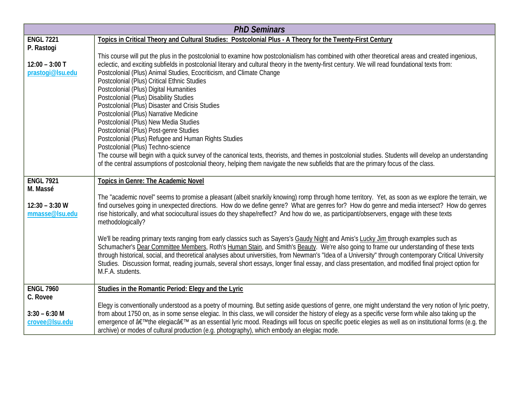| <b>PhD Seminars</b>                                               |                                                                                                                                                                                                                                                                                                                                                                                                                                                                                                                                                                                                                                                                                                                                                                                                                                                                                                                                                                                                                                                                                                                                      |  |
|-------------------------------------------------------------------|--------------------------------------------------------------------------------------------------------------------------------------------------------------------------------------------------------------------------------------------------------------------------------------------------------------------------------------------------------------------------------------------------------------------------------------------------------------------------------------------------------------------------------------------------------------------------------------------------------------------------------------------------------------------------------------------------------------------------------------------------------------------------------------------------------------------------------------------------------------------------------------------------------------------------------------------------------------------------------------------------------------------------------------------------------------------------------------------------------------------------------------|--|
| <b>ENGL 7221</b><br>P. Rastogi                                    | Topics in Critical Theory and Cultural Studies: Postcolonial Plus - A Theory for the Twenty-First Century                                                                                                                                                                                                                                                                                                                                                                                                                                                                                                                                                                                                                                                                                                                                                                                                                                                                                                                                                                                                                            |  |
| $12:00 - 3:00$ T<br>prastogi@lsu.edu                              | This course will put the plus in the postcolonial to examine how postcolonialism has combined with other theoretical areas and created ingenious,<br>eclectic, and exciting subfields in postcolonial literary and cultural theory in the twenty-first century. We will read foundational texts from:<br>Postcolonial (Plus) Animal Studies, Ecocriticism, and Climate Change<br>Postcolonial (Plus) Critical Ethnic Studies<br>Postcolonial (Plus) Digital Humanities<br>Postcolonial (Plus) Disability Studies<br>Postcolonial (Plus) Disaster and Crisis Studies<br>Postcolonial (Plus) Narrative Medicine<br>Postcolonial (Plus) New Media Studies<br>Postcolonial (Plus) Post-genre Studies<br>Postcolonial (Plus) Refugee and Human Rights Studies<br>Postcolonial (Plus) Techno-science<br>The course will begin with a quick survey of the canonical texts, theorists, and themes in postcolonial studies. Students will develop an understanding<br>of the central assumptions of postcolonial theory, helping them navigate the new subfields that are the primary focus of the class.                                     |  |
| <b>ENGL 7921</b>                                                  |                                                                                                                                                                                                                                                                                                                                                                                                                                                                                                                                                                                                                                                                                                                                                                                                                                                                                                                                                                                                                                                                                                                                      |  |
| M. Massé<br>$12:30 - 3:30$ W<br>mmasse@lsu.edu                    | Topics in Genre: The Academic Novel<br>The "academic novel" seems to promise a pleasant (albeit snarkily knowing) romp through home territory. Yet, as soon as we explore the terrain, we<br>find ourselves going in unexpected directions. How do we define genre? What are genres for? How do genre and media intersect? How do genres<br>rise historically, and what sociocultural issues do they shape/reflect? And how do we, as participant/observers, engage with these texts<br>methodologically?<br>We'll be reading primary texts ranging from early classics such as Sayers's Gaudy Night and Amis's Lucky Jim through examples such as<br>Schumacher's Dear Committee Members, Roth's Human Stain, and Smith's Beauty. We're also going to frame our understanding of these texts<br>through historical, social, and theoretical analyses about universities, from Newman's "Idea of a University" through contemporary Critical University<br>Studies. Discussion format, reading journals, several short essays, longer final essay, and class presentation, and modified final project option for<br>M.F.A. students. |  |
| <b>ENGL 7960</b><br>C. Rovee<br>$3:30 - 6:30$ M<br>crovee@Isu.edu | Studies in the Romantic Period: Elegy and the Lyric<br>Elegy is conventionally understood as a poetry of mourning. But setting aside questions of genre, one might understand the very notion of lyric poetry,<br>from about 1750 on, as in some sense elegiac. In this class, we will consider the history of elegy as a specific verse form while also taking up the<br>emergence of 'the elegiac' as an essential lyric mood. Readings will focus on specific poetic elegies as well as on institutional forms (e.g. the<br>archive) or modes of cultural production (e.g. photography), which embody an elegiac mode.                                                                                                                                                                                                                                                                                                                                                                                                                                                                                                            |  |